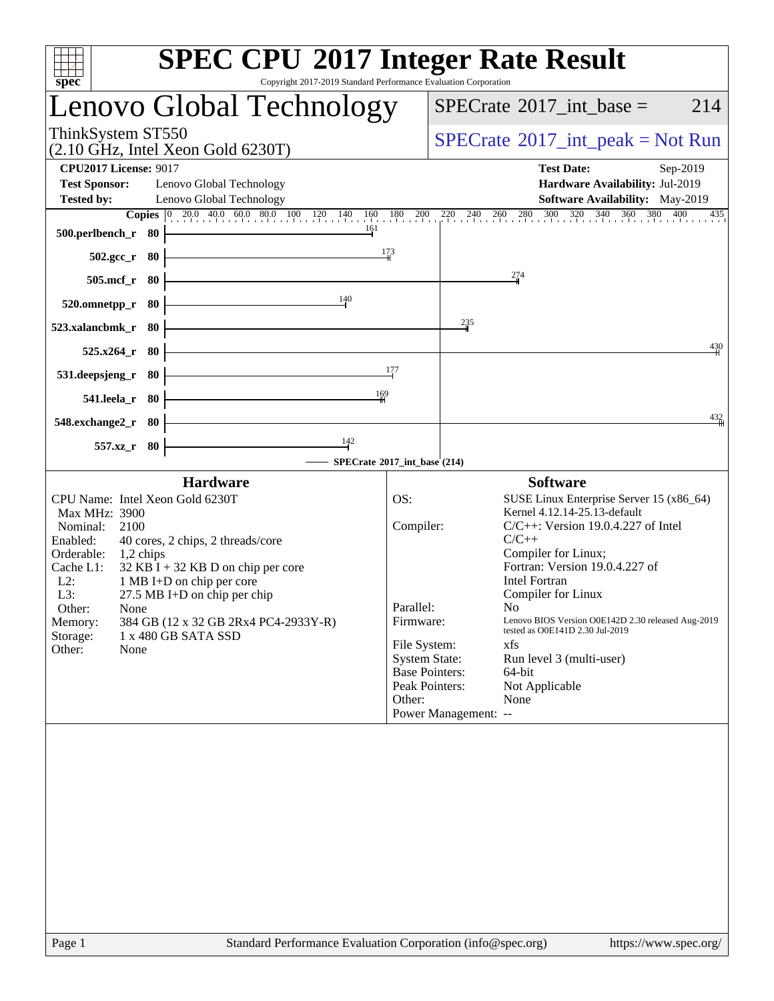| <b>SPEC CPU®2017 Integer Rate Result</b><br>spec<br>Copyright 2017-2019 Standard Performance Evaluation Corporation                                                                                                                                                                                                                                                                                                                 |                                                                                                                                         |                                                                                                                                                                                                                                                                                                                                                                                                                                                      |
|-------------------------------------------------------------------------------------------------------------------------------------------------------------------------------------------------------------------------------------------------------------------------------------------------------------------------------------------------------------------------------------------------------------------------------------|-----------------------------------------------------------------------------------------------------------------------------------------|------------------------------------------------------------------------------------------------------------------------------------------------------------------------------------------------------------------------------------------------------------------------------------------------------------------------------------------------------------------------------------------------------------------------------------------------------|
| Lenovo Global Technology                                                                                                                                                                                                                                                                                                                                                                                                            |                                                                                                                                         | $SPECTate$ <sup>®</sup> 2017_int_base =<br>214                                                                                                                                                                                                                                                                                                                                                                                                       |
| ThinkSystem ST550<br>$(2.10 \text{ GHz}, \text{Intel Xeon Gold } 6230 \text{T})$                                                                                                                                                                                                                                                                                                                                                    |                                                                                                                                         | $SPECrate^{\circledcirc}2017\_int\_peak = Not Run$                                                                                                                                                                                                                                                                                                                                                                                                   |
| <b>CPU2017 License: 9017</b><br><b>Test Sponsor:</b><br>Lenovo Global Technology<br><b>Tested by:</b><br>Lenovo Global Technology                                                                                                                                                                                                                                                                                                   |                                                                                                                                         | <b>Test Date:</b><br>Sep-2019<br>Hardware Availability: Jul-2019<br><b>Software Availability:</b> May-2019<br><b>Copies</b> $\begin{bmatrix} 0 & 20.0 & 40.0 & 60.0 & 80.0 & 100 & 120 & 140 & 160 & 180 & 200 & 220 & 240 & 260 & 280 & 300 & 320 & 340 & 360 & 380 & 400 \end{bmatrix}$<br>$^{435}$                                                                                                                                                |
| 161<br>500.perlbench_r<br>- 80                                                                                                                                                                                                                                                                                                                                                                                                      | 173                                                                                                                                     |                                                                                                                                                                                                                                                                                                                                                                                                                                                      |
| $502.\mathrm{gcc\_r}$<br>- 80<br>$505$ .mcf_r<br>- 80                                                                                                                                                                                                                                                                                                                                                                               |                                                                                                                                         | $\frac{274}{4}$                                                                                                                                                                                                                                                                                                                                                                                                                                      |
| 140<br>80<br>520.omnetpp_r                                                                                                                                                                                                                                                                                                                                                                                                          |                                                                                                                                         |                                                                                                                                                                                                                                                                                                                                                                                                                                                      |
| 523.xalancbmk_r<br>-80                                                                                                                                                                                                                                                                                                                                                                                                              |                                                                                                                                         | $\frac{235}{4}$<br>430                                                                                                                                                                                                                                                                                                                                                                                                                               |
| 525.x264<br>80<br>531.deepsjeng_r<br>-80                                                                                                                                                                                                                                                                                                                                                                                            | 177                                                                                                                                     |                                                                                                                                                                                                                                                                                                                                                                                                                                                      |
| 169<br>541.leela r<br>-80                                                                                                                                                                                                                                                                                                                                                                                                           |                                                                                                                                         |                                                                                                                                                                                                                                                                                                                                                                                                                                                      |
| 548.exchange2_r<br>-80                                                                                                                                                                                                                                                                                                                                                                                                              |                                                                                                                                         | 432                                                                                                                                                                                                                                                                                                                                                                                                                                                  |
| $\frac{142}{ }$<br>$557.xz$ _r<br>-80<br>SPECrate®2017_int_base (214)                                                                                                                                                                                                                                                                                                                                                               |                                                                                                                                         |                                                                                                                                                                                                                                                                                                                                                                                                                                                      |
| <b>Hardware</b><br>CPU Name: Intel Xeon Gold 6230T<br>Max MHz: 3900<br>Nominal:<br>2100<br>Enabled:<br>40 cores, 2 chips, 2 threads/core<br>Orderable:<br>1,2 chips<br>Cache L1:<br>$32$ KB I + 32 KB D on chip per core<br>$L2$ :<br>1 MB I+D on chip per core<br>27.5 MB I+D on chip per chip<br>$L3$ :<br>Other:<br>None<br>384 GB (12 x 32 GB 2Rx4 PC4-2933Y-R)<br>Memory:<br>1 x 480 GB SATA SSD<br>Storage:<br>Other:<br>None | OS:<br>Compiler:<br>Parallel:<br>Firmware:<br>File System:<br><b>System State:</b><br><b>Base Pointers:</b><br>Peak Pointers:<br>Other: | <b>Software</b><br>SUSE Linux Enterprise Server 15 (x86_64)<br>Kernel 4.12.14-25.13-default<br>$C/C++$ : Version 19.0.4.227 of Intel<br>$C/C++$<br>Compiler for Linux;<br>Fortran: Version 19.0.4.227 of<br><b>Intel Fortran</b><br>Compiler for Linux<br>No<br>Lenovo BIOS Version O0E142D 2.30 released Aug-2019<br>tested as O0E141D 2.30 Jul-2019<br>xfs<br>Run level 3 (multi-user)<br>64-bit<br>Not Applicable<br>None<br>Power Management: -- |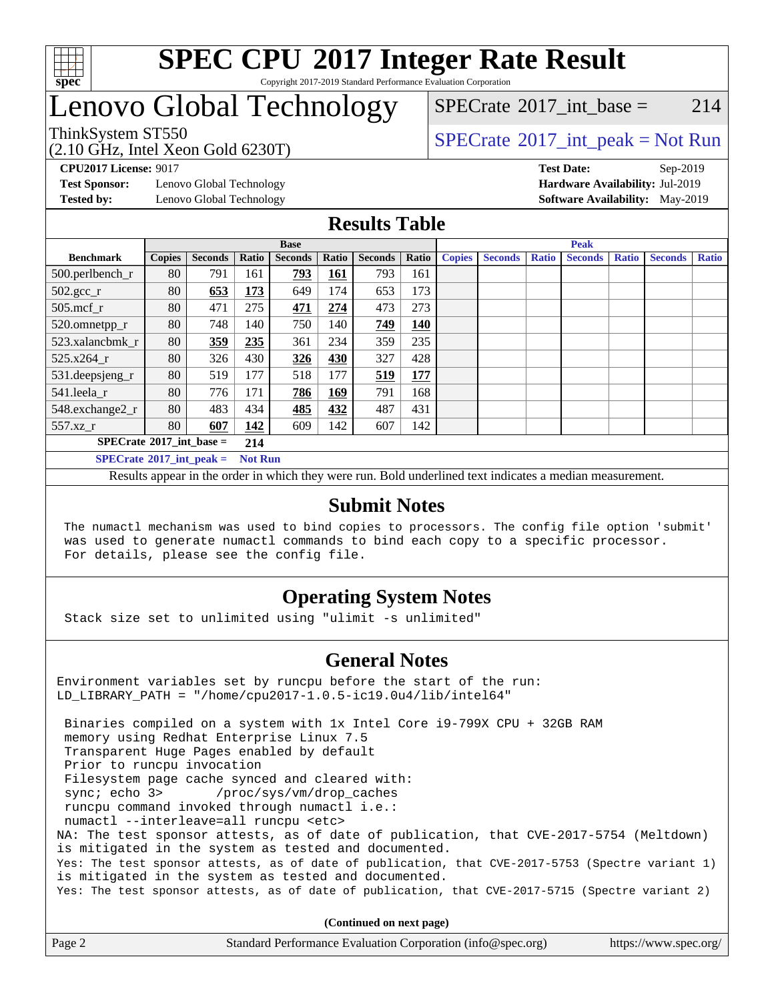

### **[SPEC CPU](http://www.spec.org/auto/cpu2017/Docs/result-fields.html#SPECCPU2017IntegerRateResult)[2017 Integer Rate Result](http://www.spec.org/auto/cpu2017/Docs/result-fields.html#SPECCPU2017IntegerRateResult)** Copyright 2017-2019 Standard Performance Evaluation Corporation

# Lenovo Global Technology

(2.10 GHz, Intel Xeon Gold 6230T)

ThinkSystem ST550<br>  $SPECTA = Not Run$ <br>  $SPECTA = Not Run$ [SPECrate](http://www.spec.org/auto/cpu2017/Docs/result-fields.html#SPECrate2017intbase)<sup>®</sup>2017 int base = 214

**[Test Sponsor:](http://www.spec.org/auto/cpu2017/Docs/result-fields.html#TestSponsor)** Lenovo Global Technology **[Hardware Availability:](http://www.spec.org/auto/cpu2017/Docs/result-fields.html#HardwareAvailability)** Jul-2019

**[CPU2017 License:](http://www.spec.org/auto/cpu2017/Docs/result-fields.html#CPU2017License)** 9017 **[Test Date:](http://www.spec.org/auto/cpu2017/Docs/result-fields.html#TestDate)** Sep-2019 **[Tested by:](http://www.spec.org/auto/cpu2017/Docs/result-fields.html#Testedby)** Lenovo Global Technology **[Software Availability:](http://www.spec.org/auto/cpu2017/Docs/result-fields.html#SoftwareAvailability)** May-2019

### **[Results Table](http://www.spec.org/auto/cpu2017/Docs/result-fields.html#ResultsTable)**

|                                     | <b>Base</b>   |                |                |                |            |                | <b>Peak</b> |               |                |              |                |              |                |              |
|-------------------------------------|---------------|----------------|----------------|----------------|------------|----------------|-------------|---------------|----------------|--------------|----------------|--------------|----------------|--------------|
| <b>Benchmark</b>                    | <b>Copies</b> | <b>Seconds</b> | Ratio          | <b>Seconds</b> | Ratio      | <b>Seconds</b> | Ratio       | <b>Copies</b> | <b>Seconds</b> | <b>Ratio</b> | <b>Seconds</b> | <b>Ratio</b> | <b>Seconds</b> | <b>Ratio</b> |
| 500.perlbench_r                     | 80            | 791            | 161            | 793            | <b>161</b> | 793            | 161         |               |                |              |                |              |                |              |
| $502.\text{sec}$                    | 80            | 653            | 173            | 649            | 174        | 653            | 173         |               |                |              |                |              |                |              |
| $505$ .mcf r                        | 80            | 471            | 275            | 471            | 274        | 473            | 273         |               |                |              |                |              |                |              |
| 520.omnetpp_r                       | 80            | 748            | 140            | 750            | 140        | 749            | 140         |               |                |              |                |              |                |              |
| 523.xalancbmk r                     | 80            | 359            | 235            | 361            | 234        | 359            | 235         |               |                |              |                |              |                |              |
| 525.x264 r                          | 80            | 326            | 430            | 326            | 430        | 327            | 428         |               |                |              |                |              |                |              |
| $531.$ deepsjeng $_r$               | 80            | 519            | 177            | 518            | 177        | 519            | 177         |               |                |              |                |              |                |              |
| 541.leela r                         | 80            | 776            | 171            | 786            | 169        | 791            | 168         |               |                |              |                |              |                |              |
| 548.exchange2_r                     | 80            | 483            | 434            | 485            | 432        | 487            | 431         |               |                |              |                |              |                |              |
| 557.xz r                            | 80            | 607            | 142            | 609            | 142        | 607            | 142         |               |                |              |                |              |                |              |
| $SPECrate^{\circ}2017\_int\_base =$ |               |                | 214            |                |            |                |             |               |                |              |                |              |                |              |
| $SPECrate^{\circ}2017$ int peak =   |               |                | <b>Not Run</b> |                |            |                |             |               |                |              |                |              |                |              |

Results appear in the [order in which they were run](http://www.spec.org/auto/cpu2017/Docs/result-fields.html#RunOrder). Bold underlined text [indicates a median measurement](http://www.spec.org/auto/cpu2017/Docs/result-fields.html#Median).

### **[Submit Notes](http://www.spec.org/auto/cpu2017/Docs/result-fields.html#SubmitNotes)**

 The numactl mechanism was used to bind copies to processors. The config file option 'submit' was used to generate numactl commands to bind each copy to a specific processor. For details, please see the config file.

### **[Operating System Notes](http://www.spec.org/auto/cpu2017/Docs/result-fields.html#OperatingSystemNotes)**

Stack size set to unlimited using "ulimit -s unlimited"

### **[General Notes](http://www.spec.org/auto/cpu2017/Docs/result-fields.html#GeneralNotes)**

Environment variables set by runcpu before the start of the run: LD\_LIBRARY\_PATH = "/home/cpu2017-1.0.5-ic19.0u4/lib/intel64"

 Binaries compiled on a system with 1x Intel Core i9-799X CPU + 32GB RAM memory using Redhat Enterprise Linux 7.5 Transparent Huge Pages enabled by default Prior to runcpu invocation Filesystem page cache synced and cleared with: sync; echo 3> /proc/sys/vm/drop\_caches runcpu command invoked through numactl i.e.: numactl --interleave=all runcpu <etc> NA: The test sponsor attests, as of date of publication, that CVE-2017-5754 (Meltdown) is mitigated in the system as tested and documented. Yes: The test sponsor attests, as of date of publication, that CVE-2017-5753 (Spectre variant 1) is mitigated in the system as tested and documented. Yes: The test sponsor attests, as of date of publication, that CVE-2017-5715 (Spectre variant 2)

**(Continued on next page)**

| Page 2 | Standard Performance Evaluation Corporation (info@spec.org) | https://www.spec.org/ |
|--------|-------------------------------------------------------------|-----------------------|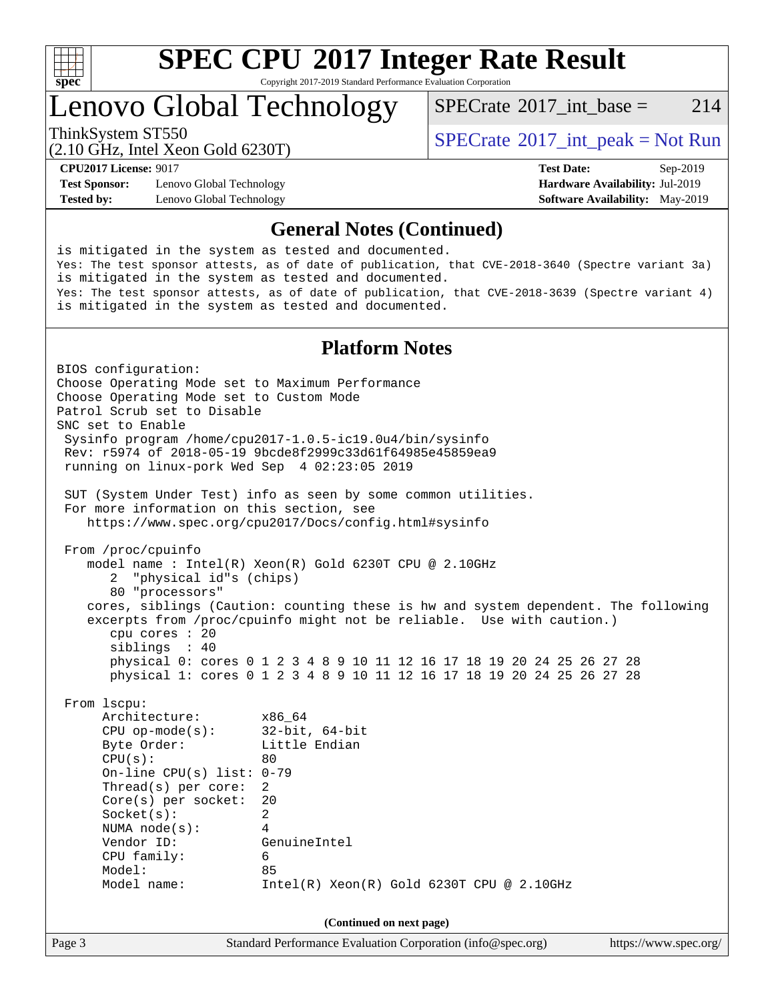

# **[SPEC CPU](http://www.spec.org/auto/cpu2017/Docs/result-fields.html#SPECCPU2017IntegerRateResult)[2017 Integer Rate Result](http://www.spec.org/auto/cpu2017/Docs/result-fields.html#SPECCPU2017IntegerRateResult)**

Copyright 2017-2019 Standard Performance Evaluation Corporation

# Lenovo Global Technology

[SPECrate](http://www.spec.org/auto/cpu2017/Docs/result-fields.html#SPECrate2017intbase)<sup>®</sup>2017 int base = 214

(2.10 GHz, Intel Xeon Gold 6230T)

ThinkSystem ST550<br>  $SPECTA = Not Run$ <br>  $SPECTA = Not Run$ 

**[Test Sponsor:](http://www.spec.org/auto/cpu2017/Docs/result-fields.html#TestSponsor)** Lenovo Global Technology **[Hardware Availability:](http://www.spec.org/auto/cpu2017/Docs/result-fields.html#HardwareAvailability)** Jul-2019 **[Tested by:](http://www.spec.org/auto/cpu2017/Docs/result-fields.html#Testedby)** Lenovo Global Technology **[Software Availability:](http://www.spec.org/auto/cpu2017/Docs/result-fields.html#SoftwareAvailability)** May-2019

**[CPU2017 License:](http://www.spec.org/auto/cpu2017/Docs/result-fields.html#CPU2017License)** 9017 **[Test Date:](http://www.spec.org/auto/cpu2017/Docs/result-fields.html#TestDate)** Sep-2019

### **[General Notes \(Continued\)](http://www.spec.org/auto/cpu2017/Docs/result-fields.html#GeneralNotes)**

is mitigated in the system as tested and documented. Yes: The test sponsor attests, as of date of publication, that CVE-2018-3640 (Spectre variant 3a) is mitigated in the system as tested and documented. Yes: The test sponsor attests, as of date of publication, that CVE-2018-3639 (Spectre variant 4) is mitigated in the system as tested and documented.

### **[Platform Notes](http://www.spec.org/auto/cpu2017/Docs/result-fields.html#PlatformNotes)**

Page 3 Standard Performance Evaluation Corporation [\(info@spec.org\)](mailto:info@spec.org) <https://www.spec.org/> BIOS configuration: Choose Operating Mode set to Maximum Performance Choose Operating Mode set to Custom Mode Patrol Scrub set to Disable SNC set to Enable Sysinfo program /home/cpu2017-1.0.5-ic19.0u4/bin/sysinfo Rev: r5974 of 2018-05-19 9bcde8f2999c33d61f64985e45859ea9 running on linux-pork Wed Sep 4 02:23:05 2019 SUT (System Under Test) info as seen by some common utilities. For more information on this section, see <https://www.spec.org/cpu2017/Docs/config.html#sysinfo> From /proc/cpuinfo model name : Intel(R) Xeon(R) Gold 6230T CPU @ 2.10GHz 2 "physical id"s (chips) 80 "processors" cores, siblings (Caution: counting these is hw and system dependent. The following excerpts from /proc/cpuinfo might not be reliable. Use with caution.) cpu cores : 20 siblings : 40 physical 0: cores 0 1 2 3 4 8 9 10 11 12 16 17 18 19 20 24 25 26 27 28 physical 1: cores 0 1 2 3 4 8 9 10 11 12 16 17 18 19 20 24 25 26 27 28 From lscpu: Architecture: x86\_64 CPU op-mode(s): 32-bit, 64-bit Byte Order: Little Endian  $CPU(s):$  80 On-line CPU(s) list: 0-79 Thread(s) per core: 2 Core(s) per socket: 20 Socket(s): 2 NUMA node(s): 4 Vendor ID: GenuineIntel CPU family: 6 Model: 85 Model name: Intel(R) Xeon(R) Gold 6230T CPU @ 2.10GHz **(Continued on next page)**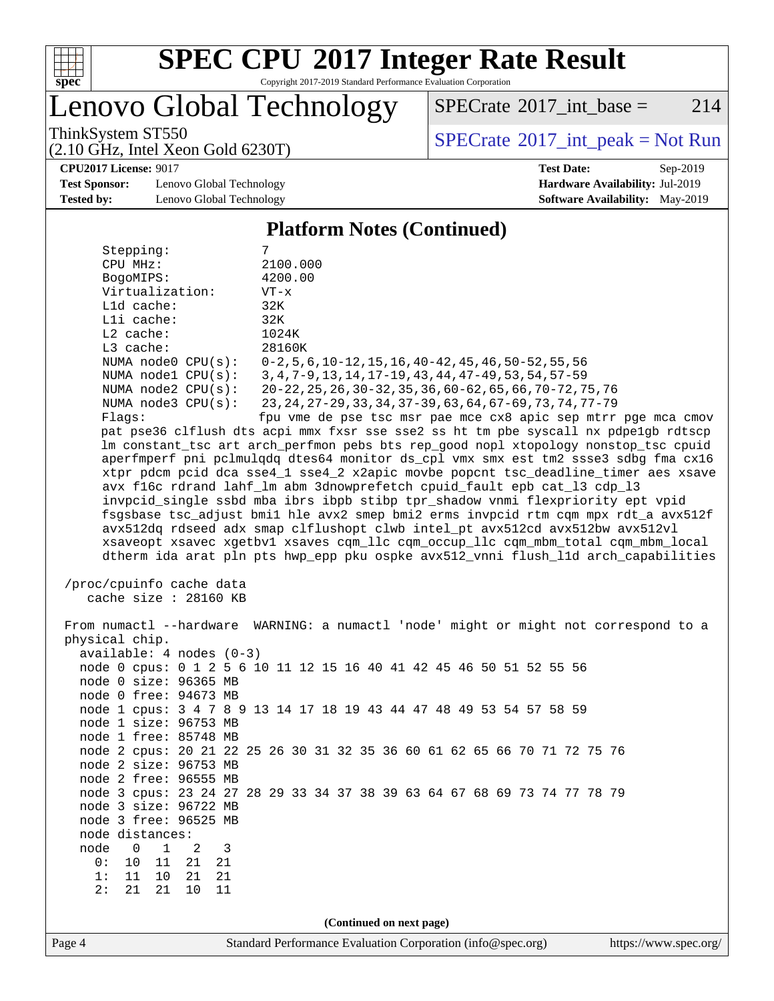

# **[SPEC CPU](http://www.spec.org/auto/cpu2017/Docs/result-fields.html#SPECCPU2017IntegerRateResult)[2017 Integer Rate Result](http://www.spec.org/auto/cpu2017/Docs/result-fields.html#SPECCPU2017IntegerRateResult)**

Copyright 2017-2019 Standard Performance Evaluation Corporation

Lenovo Global Technology

 $SPECTate@2017_int\_base = 214$ 

(2.10 GHz, Intel Xeon Gold 6230T)

ThinkSystem ST550<br>  $(2.10 \text{ GHz})$  Intel Xeon Gold 6230T)

**[CPU2017 License:](http://www.spec.org/auto/cpu2017/Docs/result-fields.html#CPU2017License)** 9017 **[Test Date:](http://www.spec.org/auto/cpu2017/Docs/result-fields.html#TestDate)** Sep-2019

**[Test Sponsor:](http://www.spec.org/auto/cpu2017/Docs/result-fields.html#TestSponsor)** Lenovo Global Technology **[Hardware Availability:](http://www.spec.org/auto/cpu2017/Docs/result-fields.html#HardwareAvailability)** Jul-2019 **[Tested by:](http://www.spec.org/auto/cpu2017/Docs/result-fields.html#Testedby)** Lenovo Global Technology **[Software Availability:](http://www.spec.org/auto/cpu2017/Docs/result-fields.html#SoftwareAvailability)** May-2019

**[Platform Notes \(Continued\)](http://www.spec.org/auto/cpu2017/Docs/result-fields.html#PlatformNotes)**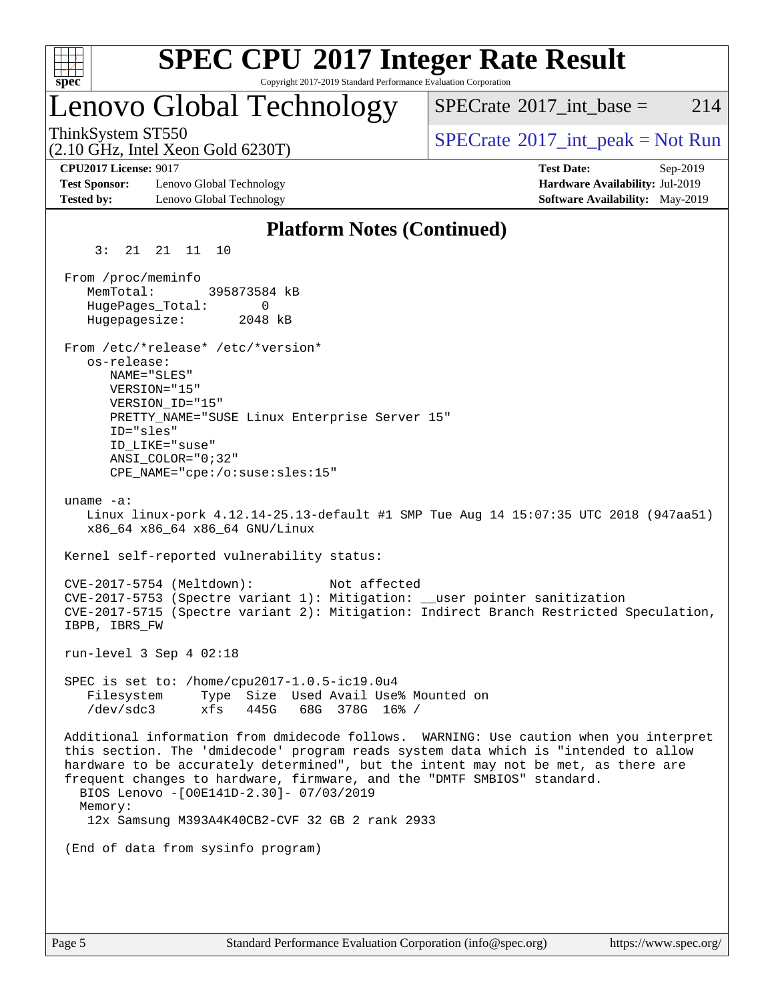

# **[SPEC CPU](http://www.spec.org/auto/cpu2017/Docs/result-fields.html#SPECCPU2017IntegerRateResult)[2017 Integer Rate Result](http://www.spec.org/auto/cpu2017/Docs/result-fields.html#SPECCPU2017IntegerRateResult)**

Copyright 2017-2019 Standard Performance Evaluation Corporation

# Lenovo Global Technology

[SPECrate](http://www.spec.org/auto/cpu2017/Docs/result-fields.html#SPECrate2017intbase)<sup>®</sup>2017 int base = 214

(2.10 GHz, Intel Xeon Gold 6230T)

ThinkSystem ST550<br>  $SPECTA = Not Run$ <br>  $SPECTA = Not Run$ 

**[Test Sponsor:](http://www.spec.org/auto/cpu2017/Docs/result-fields.html#TestSponsor)** Lenovo Global Technology **[Hardware Availability:](http://www.spec.org/auto/cpu2017/Docs/result-fields.html#HardwareAvailability)** Jul-2019 **[Tested by:](http://www.spec.org/auto/cpu2017/Docs/result-fields.html#Testedby)** Lenovo Global Technology **[Software Availability:](http://www.spec.org/auto/cpu2017/Docs/result-fields.html#SoftwareAvailability)** May-2019

**[CPU2017 License:](http://www.spec.org/auto/cpu2017/Docs/result-fields.html#CPU2017License)** 9017 **[Test Date:](http://www.spec.org/auto/cpu2017/Docs/result-fields.html#TestDate)** Sep-2019

#### **[Platform Notes \(Continued\)](http://www.spec.org/auto/cpu2017/Docs/result-fields.html#PlatformNotes)** 3: 21 21 11 10 From /proc/meminfo MemTotal: 395873584 kB HugePages\_Total: 0 Hugepagesize: 2048 kB From /etc/\*release\* /etc/\*version\* os-release: NAME="SLES" VERSION="15" VERSION\_ID="15" PRETTY\_NAME="SUSE Linux Enterprise Server 15" ID="sles" ID\_LIKE="suse" ANSI\_COLOR="0;32" CPE\_NAME="cpe:/o:suse:sles:15" uname -a: Linux linux-pork 4.12.14-25.13-default #1 SMP Tue Aug 14 15:07:35 UTC 2018 (947aa51) x86\_64 x86\_64 x86\_64 GNU/Linux Kernel self-reported vulnerability status: CVE-2017-5754 (Meltdown): Not affected CVE-2017-5753 (Spectre variant 1): Mitigation: \_\_user pointer sanitization CVE-2017-5715 (Spectre variant 2): Mitigation: Indirect Branch Restricted Speculation, IBPB, IBRS\_FW run-level 3 Sep 4 02:18 SPEC is set to: /home/cpu2017-1.0.5-ic19.0u4 Filesystem Type Size Used Avail Use% Mounted on /dev/sdc3 xfs 445G 68G 378G 16% / Additional information from dmidecode follows. WARNING: Use caution when you interpret this section. The 'dmidecode' program reads system data which is "intended to allow hardware to be accurately determined", but the intent may not be met, as there are frequent changes to hardware, firmware, and the "DMTF SMBIOS" standard. BIOS Lenovo -[O0E141D-2.30]- 07/03/2019 Memory: 12x Samsung M393A4K40CB2-CVF 32 GB 2 rank 2933 (End of data from sysinfo program)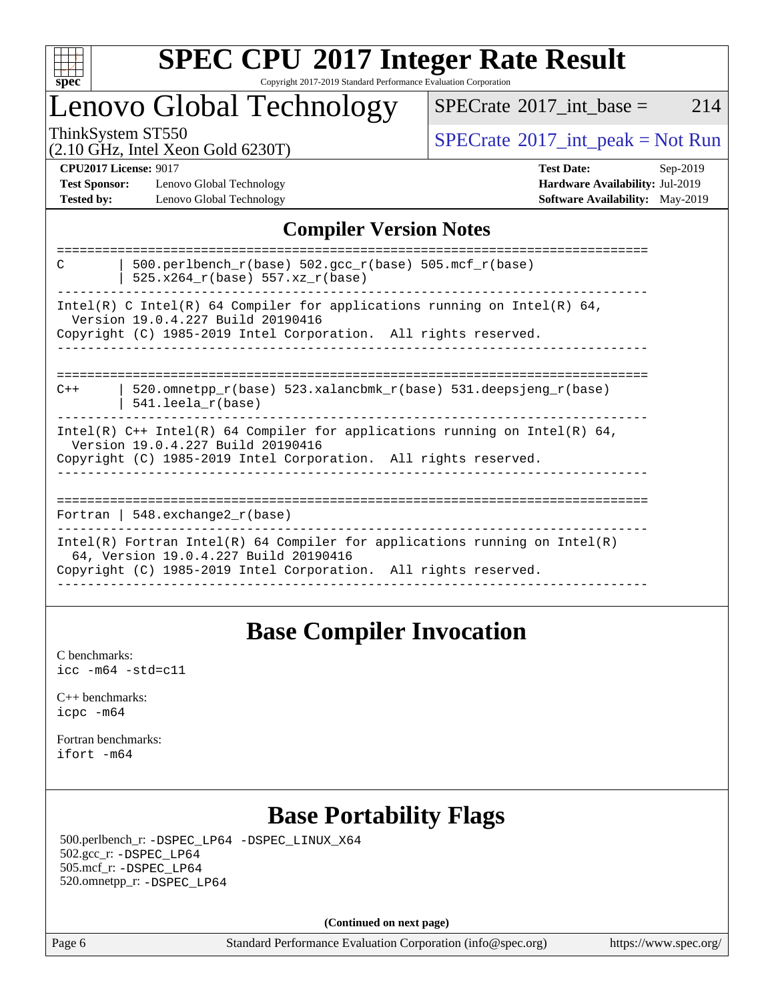

### **[SPEC CPU](http://www.spec.org/auto/cpu2017/Docs/result-fields.html#SPECCPU2017IntegerRateResult)[2017 Integer Rate Result](http://www.spec.org/auto/cpu2017/Docs/result-fields.html#SPECCPU2017IntegerRateResult)** Copyright 2017-2019 Standard Performance Evaluation Corporation

# Lenovo Global Technology

 $SPECTate$ <sup>®</sup>[2017\\_int\\_base =](http://www.spec.org/auto/cpu2017/Docs/result-fields.html#SPECrate2017intbase) 214

(2.10 GHz, Intel Xeon Gold 6230T)

ThinkSystem ST550<br>  $\begin{array}{c}\n\text{SPECTB} \\
\text{SPECTB} \\
\text{SPECTB} \\
\text{SPECTB} \\
\text{SPECTB} \\
\text{SPECTB} \\
\text{SPECTB} \\
\text{SPECTB} \\
\text{SPECTB} \\
\text{SPECTB} \\
\text{SPECTB} \\
\text{SPECTB} \\
\text{SPECTB} \\
\text{SPECTB} \\
\text{SPECTB} \\
\text{SPECTB} \\
\text{SPECTB} \\
\text{SPECTB} \\
\text{SPECTB} \\
\text{SPECTB} \\
\text{SPECTB} \\
\text{SPECTB} \\
\text{S.} \\
\text{S.} \\
\text{$ 

**[Test Sponsor:](http://www.spec.org/auto/cpu2017/Docs/result-fields.html#TestSponsor)** Lenovo Global Technology **[Hardware Availability:](http://www.spec.org/auto/cpu2017/Docs/result-fields.html#HardwareAvailability)** Jul-2019 **[Tested by:](http://www.spec.org/auto/cpu2017/Docs/result-fields.html#Testedby)** Lenovo Global Technology **[Software Availability:](http://www.spec.org/auto/cpu2017/Docs/result-fields.html#SoftwareAvailability)** May-2019

**[CPU2017 License:](http://www.spec.org/auto/cpu2017/Docs/result-fields.html#CPU2017License)** 9017 **[Test Date:](http://www.spec.org/auto/cpu2017/Docs/result-fields.html#TestDate)** Sep-2019

### **[Compiler Version Notes](http://www.spec.org/auto/cpu2017/Docs/result-fields.html#CompilerVersionNotes)**

| 500.perlbench $r(base)$ 502.qcc $r(base)$ 505.mcf $r(base)$<br>C<br>$525.x264_r(base) 557.xz_r(base)$               |
|---------------------------------------------------------------------------------------------------------------------|
| Intel(R) C Intel(R) 64 Compiler for applications running on Intel(R) 64,<br>Version 19.0.4.227 Build 20190416       |
| Copyright (C) 1985-2019 Intel Corporation. All rights reserved.                                                     |
|                                                                                                                     |
| 520.omnetpp $r(base)$ 523.xalancbmk $r(base)$ 531.deepsjeng $r(base)$<br>$C++$                                      |
| $541.$ leela r(base)                                                                                                |
| Intel(R) $C++$ Intel(R) 64 Compiler for applications running on Intel(R) 64,<br>Version 19.0.4.227 Build 20190416   |
| Copyright (C) 1985-2019 Intel Corporation. All rights reserved.                                                     |
|                                                                                                                     |
| Fortran   548.exchange2 $r(base)$                                                                                   |
| Intel(R) Fortran Intel(R) 64 Compiler for applications running on Intel(R)<br>64, Version 19.0.4.227 Build 20190416 |
| Copyright (C) 1985-2019 Intel Corporation. All rights reserved.                                                     |
|                                                                                                                     |

### **[Base Compiler Invocation](http://www.spec.org/auto/cpu2017/Docs/result-fields.html#BaseCompilerInvocation)**

[C benchmarks](http://www.spec.org/auto/cpu2017/Docs/result-fields.html#Cbenchmarks): [icc -m64 -std=c11](http://www.spec.org/cpu2017/results/res2019q4/cpu2017-20190916-18189.flags.html#user_CCbase_intel_icc_64bit_c11_33ee0cdaae7deeeab2a9725423ba97205ce30f63b9926c2519791662299b76a0318f32ddfffdc46587804de3178b4f9328c46fa7c2b0cd779d7a61945c91cd35)

[C++ benchmarks:](http://www.spec.org/auto/cpu2017/Docs/result-fields.html#CXXbenchmarks) [icpc -m64](http://www.spec.org/cpu2017/results/res2019q4/cpu2017-20190916-18189.flags.html#user_CXXbase_intel_icpc_64bit_4ecb2543ae3f1412ef961e0650ca070fec7b7afdcd6ed48761b84423119d1bf6bdf5cad15b44d48e7256388bc77273b966e5eb805aefd121eb22e9299b2ec9d9)

[Fortran benchmarks](http://www.spec.org/auto/cpu2017/Docs/result-fields.html#Fortranbenchmarks): [ifort -m64](http://www.spec.org/cpu2017/results/res2019q4/cpu2017-20190916-18189.flags.html#user_FCbase_intel_ifort_64bit_24f2bb282fbaeffd6157abe4f878425411749daecae9a33200eee2bee2fe76f3b89351d69a8130dd5949958ce389cf37ff59a95e7a40d588e8d3a57e0c3fd751)

### **[Base Portability Flags](http://www.spec.org/auto/cpu2017/Docs/result-fields.html#BasePortabilityFlags)**

 500.perlbench\_r: [-DSPEC\\_LP64](http://www.spec.org/cpu2017/results/res2019q4/cpu2017-20190916-18189.flags.html#b500.perlbench_r_basePORTABILITY_DSPEC_LP64) [-DSPEC\\_LINUX\\_X64](http://www.spec.org/cpu2017/results/res2019q4/cpu2017-20190916-18189.flags.html#b500.perlbench_r_baseCPORTABILITY_DSPEC_LINUX_X64) 502.gcc\_r: [-DSPEC\\_LP64](http://www.spec.org/cpu2017/results/res2019q4/cpu2017-20190916-18189.flags.html#suite_basePORTABILITY502_gcc_r_DSPEC_LP64) 505.mcf\_r: [-DSPEC\\_LP64](http://www.spec.org/cpu2017/results/res2019q4/cpu2017-20190916-18189.flags.html#suite_basePORTABILITY505_mcf_r_DSPEC_LP64) 520.omnetpp\_r: [-DSPEC\\_LP64](http://www.spec.org/cpu2017/results/res2019q4/cpu2017-20190916-18189.flags.html#suite_basePORTABILITY520_omnetpp_r_DSPEC_LP64)

**(Continued on next page)**

Page 6 Standard Performance Evaluation Corporation [\(info@spec.org\)](mailto:info@spec.org) <https://www.spec.org/>